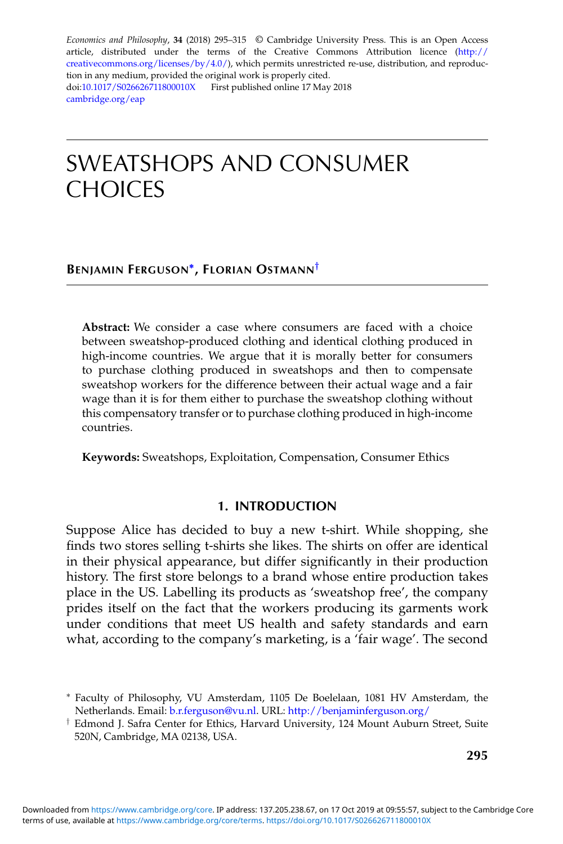*Economics and Philosophy*, **34** (2018) 295–315 © Cambridge University Press. This is an Open Access article, distributed under the terms of the Creative Commons Attribution licence [\(http://](http://creativecommons.org/licenses/by/4.0/) [creativecommons.org/licenses/by/4.0/\)](http://creativecommons.org/licenses/by/4.0/), which permits unrestricted re-use, distribution, and reproduction in any medium, provided the original work is properly cited. doi[:10.1017/S026626711800010X](https://doi.org/10.1017/S026626711800010X) First published online 17 May 2018 [cambridge.org/eap](http://cambridge.org/eap)

# SWEATSHOPS AND CONSUMER CHOICES

# **BENJAMIN FERGUSON∗, FLORIAN OSTMANN***†*

**Abstract:** We consider a case where consumers are faced with a choice between sweatshop-produced clothing and identical clothing produced in high-income countries. We argue that it is morally better for consumers to purchase clothing produced in sweatshops and then to compensate sweatshop workers for the difference between their actual wage and a fair wage than it is for them either to purchase the sweatshop clothing without this compensatory transfer or to purchase clothing produced in high-income countries.

**Keywords:** Sweatshops, Exploitation, Compensation, Consumer Ethics

# **1. INTRODUCTION**

Suppose Alice has decided to buy a new t-shirt. While shopping, she finds two stores selling t-shirts she likes. The shirts on offer are identical in their physical appearance, but differ significantly in their production history. The first store belongs to a brand whose entire production takes place in the US. Labelling its products as 'sweatshop free', the company prides itself on the fact that the workers producing its garments work under conditions that meet US health and safety standards and earn what, according to the company's marketing, is a 'fair wage'. The second

<sup>∗</sup> Faculty of Philosophy, VU Amsterdam, 1105 De Boelelaan, 1081 HV Amsterdam, the Netherlands. Email: [b.r.ferguson@vu.nl.](mailto:b.r.ferguson@vu.nl) URL: <http://benjaminferguson.org/>

<sup>†</sup> Edmond J. Safra Center for Ethics, Harvard University, 124 Mount Auburn Street, Suite 520N, Cambridge, MA 02138, USA.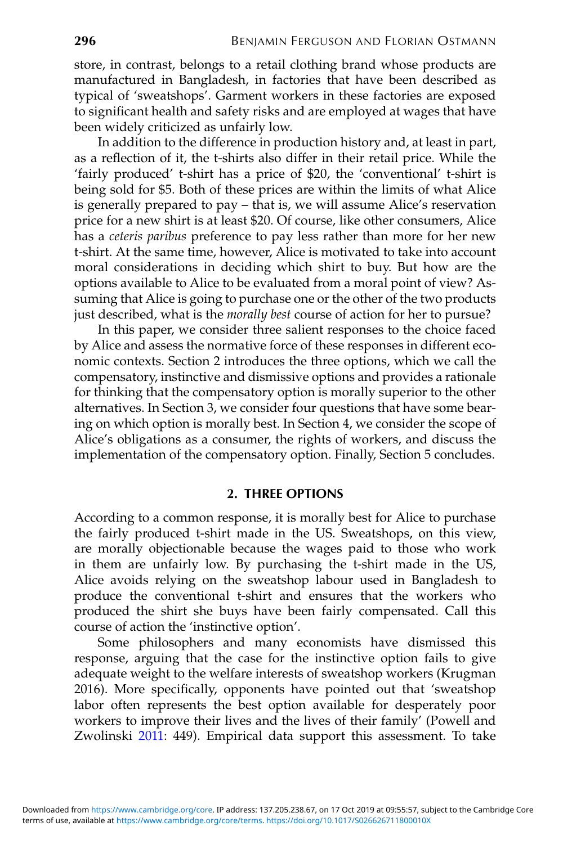store, in contrast, belongs to a retail clothing brand whose products are manufactured in Bangladesh, in factories that have been described as typical of 'sweatshops'. Garment workers in these factories are exposed to significant health and safety risks and are employed at wages that have been widely criticized as unfairly low.

In addition to the difference in production history and, at least in part, as a reflection of it, the t-shirts also differ in their retail price. While the 'fairly produced' t-shirt has a price of \$20, the 'conventional' t-shirt is being sold for \$5. Both of these prices are within the limits of what Alice is generally prepared to pay – that is, we will assume Alice's reservation price for a new shirt is at least \$20. Of course, like other consumers, Alice has a *ceteris paribus* preference to pay less rather than more for her new t-shirt. At the same time, however, Alice is motivated to take into account moral considerations in deciding which shirt to buy. But how are the options available to Alice to be evaluated from a moral point of view? Assuming that Alice is going to purchase one or the other of the two products just described, what is the *morally best* course of action for her to pursue?

In this paper, we consider three salient responses to the choice faced by Alice and assess the normative force of these responses in different economic contexts. Section 2 introduces the three options, which we call the compensatory, instinctive and dismissive options and provides a rationale for thinking that the compensatory option is morally superior to the other alternatives. In Section 3, we consider four questions that have some bearing on which option is morally best. In Section 4, we consider the scope of Alice's obligations as a consumer, the rights of workers, and discuss the implementation of the compensatory option. Finally, Section 5 concludes.

# **2. THREE OPTIONS**

According to a common response, it is morally best for Alice to purchase the fairly produced t-shirt made in the US. Sweatshops, on this view, are morally objectionable because the wages paid to those who work in them are unfairly low. By purchasing the t-shirt made in the US, Alice avoids relying on the sweatshop labour used in Bangladesh to produce the conventional t-shirt and ensures that the workers who produced the shirt she buys have been fairly compensated. Call this course of action the 'instinctive option'.

Some philosophers and many economists have dismissed this response, arguing that the case for the instinctive option fails to give adequate weight to the welfare interests of sweatshop workers (Krugman 2016). More specifically, opponents have pointed out that 'sweatshop labor often represents the best option available for desperately poor workers to improve their lives and the lives of their family' (Powell and Zwolinski [2011:](#page-20-0) 449). Empirical data support this assessment. To take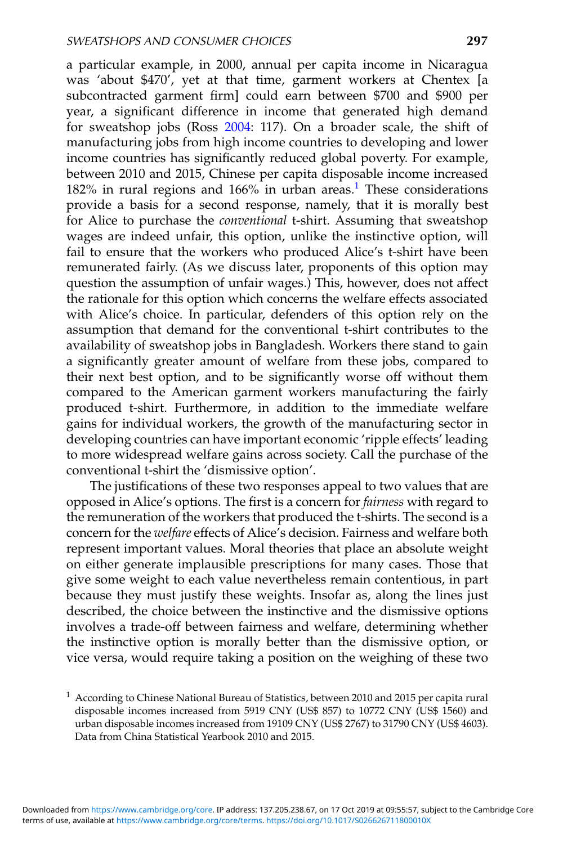a particular example, in 2000, annual per capita income in Nicaragua was 'about \$470', yet at that time, garment workers at Chentex [a subcontracted garment firm] could earn between \$700 and \$900 per year, a significant difference in income that generated high demand for sweatshop jobs (Ross [2004:](#page-20-0) 117). On a broader scale, the shift of manufacturing jobs from high income countries to developing and lower income countries has significantly reduced global poverty. For example, between 2010 and 2015, Chinese per capita disposable income increased 182% in rural regions and 166% in urban areas.<sup>1</sup> These considerations provide a basis for a second response, namely, that it is morally best for Alice to purchase the *conventional* t-shirt. Assuming that sweatshop wages are indeed unfair, this option, unlike the instinctive option, will fail to ensure that the workers who produced Alice's t-shirt have been remunerated fairly. (As we discuss later, proponents of this option may question the assumption of unfair wages.) This, however, does not affect the rationale for this option which concerns the welfare effects associated with Alice's choice. In particular, defenders of this option rely on the assumption that demand for the conventional t-shirt contributes to the availability of sweatshop jobs in Bangladesh. Workers there stand to gain a significantly greater amount of welfare from these jobs, compared to their next best option, and to be significantly worse off without them compared to the American garment workers manufacturing the fairly produced t-shirt. Furthermore, in addition to the immediate welfare gains for individual workers, the growth of the manufacturing sector in developing countries can have important economic 'ripple effects' leading to more widespread welfare gains across society. Call the purchase of the conventional t-shirt the 'dismissive option'.

The justifications of these two responses appeal to two values that are opposed in Alice's options. The first is a concern for *fairness* with regard to the remuneration of the workers that produced the t-shirts. The second is a concern for the *welfare* effects of Alice's decision. Fairness and welfare both represent important values. Moral theories that place an absolute weight on either generate implausible prescriptions for many cases. Those that give some weight to each value nevertheless remain contentious, in part because they must justify these weights. Insofar as, along the lines just described, the choice between the instinctive and the dismissive options involves a trade-off between fairness and welfare, determining whether the instinctive option is morally better than the dismissive option, or vice versa, would require taking a position on the weighing of these two

 $1$  According to Chinese National Bureau of Statistics, between 2010 and 2015 per capita rural disposable incomes increased from 5919 CNY (US\$ 857) to 10772 CNY (US\$ 1560) and urban disposable incomes increased from 19109 CNY (US\$ 2767) to 31790 CNY (US\$ 4603). Data from China Statistical Yearbook 2010 and 2015.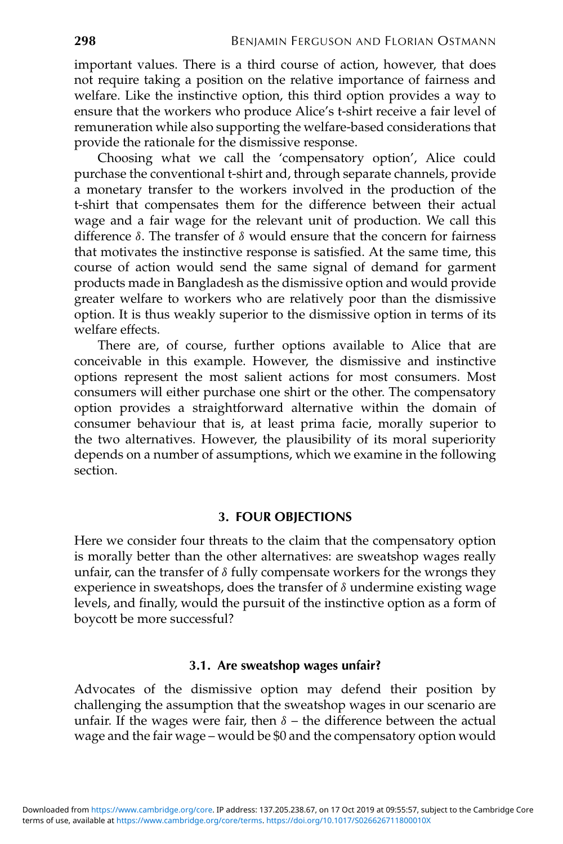important values. There is a third course of action, however, that does not require taking a position on the relative importance of fairness and welfare. Like the instinctive option, this third option provides a way to ensure that the workers who produce Alice's t-shirt receive a fair level of remuneration while also supporting the welfare-based considerations that provide the rationale for the dismissive response.

Choosing what we call the 'compensatory option', Alice could purchase the conventional t-shirt and, through separate channels, provide a monetary transfer to the workers involved in the production of the t-shirt that compensates them for the difference between their actual wage and a fair wage for the relevant unit of production. We call this difference δ. The transfer of δ would ensure that the concern for fairness that motivates the instinctive response is satisfied. At the same time, this course of action would send the same signal of demand for garment products made in Bangladesh as the dismissive option and would provide greater welfare to workers who are relatively poor than the dismissive option. It is thus weakly superior to the dismissive option in terms of its welfare effects.

There are, of course, further options available to Alice that are conceivable in this example. However, the dismissive and instinctive options represent the most salient actions for most consumers. Most consumers will either purchase one shirt or the other. The compensatory option provides a straightforward alternative within the domain of consumer behaviour that is, at least prima facie, morally superior to the two alternatives. However, the plausibility of its moral superiority depends on a number of assumptions, which we examine in the following section.

# **3. FOUR OBJECTIONS**

Here we consider four threats to the claim that the compensatory option is morally better than the other alternatives: are sweatshop wages really unfair, can the transfer of  $\delta$  fully compensate workers for the wrongs they experience in sweatshops, does the transfer of  $\delta$  undermine existing wage levels, and finally, would the pursuit of the instinctive option as a form of boycott be more successful?

### **3.1. Are sweatshop wages unfair?**

Advocates of the dismissive option may defend their position by challenging the assumption that the sweatshop wages in our scenario are unfair. If the wages were fair, then  $\delta$  – the difference between the actual wage and the fair wage – would be \$0 and the compensatory option would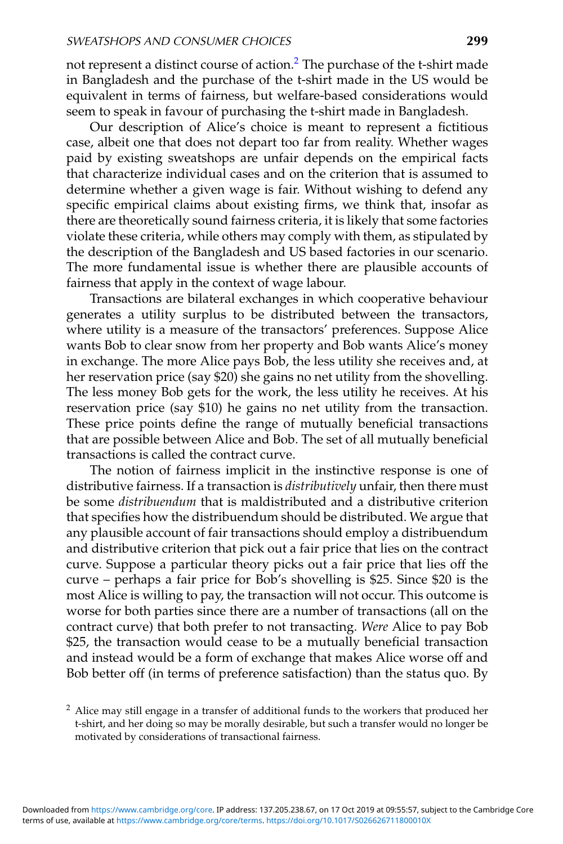not represent a distinct course of action.<sup>2</sup> The purchase of the t-shirt made in Bangladesh and the purchase of the t-shirt made in the US would be equivalent in terms of fairness, but welfare-based considerations would seem to speak in favour of purchasing the t-shirt made in Bangladesh.

Our description of Alice's choice is meant to represent a fictitious case, albeit one that does not depart too far from reality. Whether wages paid by existing sweatshops are unfair depends on the empirical facts that characterize individual cases and on the criterion that is assumed to determine whether a given wage is fair. Without wishing to defend any specific empirical claims about existing firms, we think that, insofar as there are theoretically sound fairness criteria, it is likely that some factories violate these criteria, while others may comply with them, as stipulated by the description of the Bangladesh and US based factories in our scenario. The more fundamental issue is whether there are plausible accounts of fairness that apply in the context of wage labour.

Transactions are bilateral exchanges in which cooperative behaviour generates a utility surplus to be distributed between the transactors, where utility is a measure of the transactors' preferences. Suppose Alice wants Bob to clear snow from her property and Bob wants Alice's money in exchange. The more Alice pays Bob, the less utility she receives and, at her reservation price (say \$20) she gains no net utility from the shovelling. The less money Bob gets for the work, the less utility he receives. At his reservation price (say \$10) he gains no net utility from the transaction. These price points define the range of mutually beneficial transactions that are possible between Alice and Bob. The set of all mutually beneficial transactions is called the contract curve.

The notion of fairness implicit in the instinctive response is one of distributive fairness. If a transaction is *distributively* unfair, then there must be some *distribuendum* that is maldistributed and a distributive criterion that specifies how the distribuendum should be distributed. We argue that any plausible account of fair transactions should employ a distribuendum and distributive criterion that pick out a fair price that lies on the contract curve. Suppose a particular theory picks out a fair price that lies off the curve – perhaps a fair price for Bob's shovelling is \$25. Since \$20 is the most Alice is willing to pay, the transaction will not occur. This outcome is worse for both parties since there are a number of transactions (all on the contract curve) that both prefer to not transacting. *Were* Alice to pay Bob \$25, the transaction would cease to be a mutually beneficial transaction and instead would be a form of exchange that makes Alice worse off and Bob better off (in terms of preference satisfaction) than the status quo. By

<sup>&</sup>lt;sup>2</sup> Alice may still engage in a transfer of additional funds to the workers that produced her t-shirt, and her doing so may be morally desirable, but such a transfer would no longer be motivated by considerations of transactional fairness.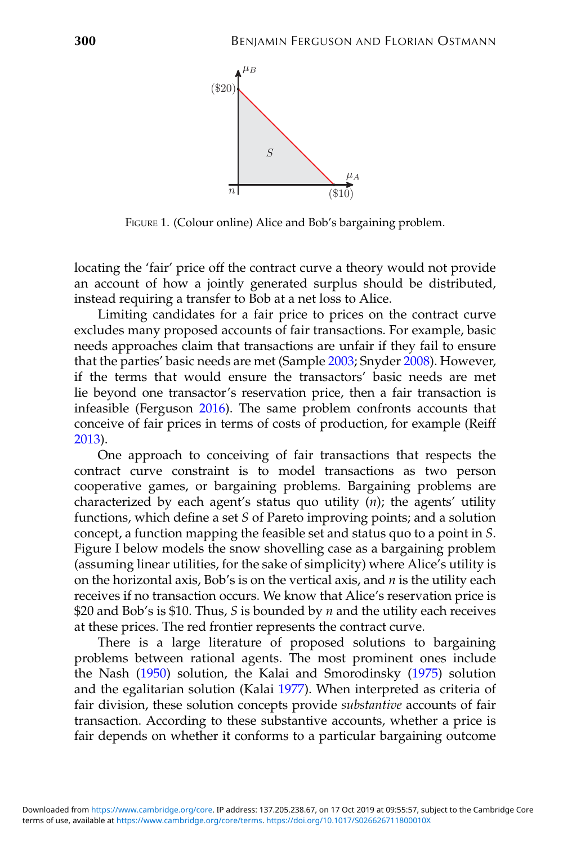

FIGURE 1. (Colour online) Alice and Bob's bargaining problem.

locating the 'fair' price off the contract curve a theory would not provide an account of how a jointly generated surplus should be distributed, instead requiring a transfer to Bob at a net loss to Alice.

Limiting candidates for a fair price to prices on the contract curve excludes many proposed accounts of fair transactions. For example, basic needs approaches claim that transactions are unfair if they fail to ensure that the parties' basic needs are met (Sample [2003;](#page-20-0) Snyder [2008\)](#page-20-0). However, if the terms that would ensure the transactors' basic needs are met lie beyond one transactor's reservation price, then a fair transaction is infeasible (Ferguson [2016\)](#page-19-0). The same problem confronts accounts that conceive of fair prices in terms of costs of production, for example (Reiff [2013\)](#page-20-0).

One approach to conceiving of fair transactions that respects the contract curve constraint is to model transactions as two person cooperative games, or bargaining problems. Bargaining problems are characterized by each agent's status quo utility (*n*); the agents' utility functions, which define a set *S* of Pareto improving points; and a solution concept, a function mapping the feasible set and status quo to a point in *S*. Figure I below models the snow shovelling case as a bargaining problem (assuming linear utilities, for the sake of simplicity) where Alice's utility is on the horizontal axis, Bob's is on the vertical axis, and *n* is the utility each receives if no transaction occurs. We know that Alice's reservation price is \$20 and Bob's is \$10. Thus, *S* is bounded by *n* and the utility each receives at these prices. The red frontier represents the contract curve.

There is a large literature of proposed solutions to bargaining problems between rational agents. The most prominent ones include the Nash [\(1950\)](#page-20-0) solution, the Kalai and Smorodinsky [\(1975\)](#page-19-0) solution and the egalitarian solution (Kalai [1977\)](#page-19-0). When interpreted as criteria of fair division, these solution concepts provide *substantive* accounts of fair transaction. According to these substantive accounts, whether a price is fair depends on whether it conforms to a particular bargaining outcome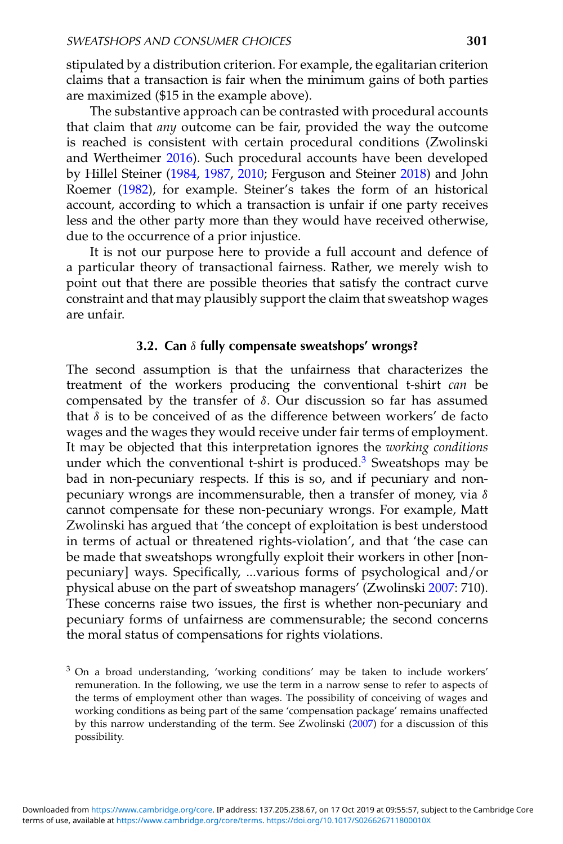stipulated by a distribution criterion. For example, the egalitarian criterion claims that a transaction is fair when the minimum gains of both parties are maximized (\$15 in the example above).

The substantive approach can be contrasted with procedural accounts that claim that *any* outcome can be fair, provided the way the outcome is reached is consistent with certain procedural conditions (Zwolinski and Wertheimer [2016\)](#page-20-0). Such procedural accounts have been developed by Hillel Steiner [\(1984,](#page-20-0) [1987,](#page-20-0) [2010;](#page-20-0) Ferguson and Steiner [2018\)](#page-19-0) and John Roemer [\(1982\)](#page-20-0), for example. Steiner's takes the form of an historical account, according to which a transaction is unfair if one party receives less and the other party more than they would have received otherwise, due to the occurrence of a prior injustice.

It is not our purpose here to provide a full account and defence of a particular theory of transactional fairness. Rather, we merely wish to point out that there are possible theories that satisfy the contract curve constraint and that may plausibly support the claim that sweatshop wages are unfair.

# **3.2. Can** δ **fully compensate sweatshops' wrongs?**

The second assumption is that the unfairness that characterizes the treatment of the workers producing the conventional t-shirt *can* be compensated by the transfer of δ. Our discussion so far has assumed that  $\delta$  is to be conceived of as the difference between workers' de facto wages and the wages they would receive under fair terms of employment. It may be objected that this interpretation ignores the *working conditions* under which the conventional t-shirt is produced.<sup>3</sup> Sweatshops may be bad in non-pecuniary respects. If this is so, and if pecuniary and nonpecuniary wrongs are incommensurable, then a transfer of money, via  $\delta$ cannot compensate for these non-pecuniary wrongs. For example, Matt Zwolinski has argued that 'the concept of exploitation is best understood in terms of actual or threatened rights-violation', and that 'the case can be made that sweatshops wrongfully exploit their workers in other [nonpecuniary] ways. Specifically, ...various forms of psychological and/or physical abuse on the part of sweatshop managers' (Zwolinski [2007:](#page-20-0) 710). These concerns raise two issues, the first is whether non-pecuniary and pecuniary forms of unfairness are commensurable; the second concerns the moral status of compensations for rights violations.

<sup>3</sup> On a broad understanding, 'working conditions' may be taken to include workers' remuneration. In the following, we use the term in a narrow sense to refer to aspects of the terms of employment other than wages. The possibility of conceiving of wages and working conditions as being part of the same 'compensation package' remains unaffected by this narrow understanding of the term. See Zwolinski [\(2007\)](#page-20-0) for a discussion of this possibility.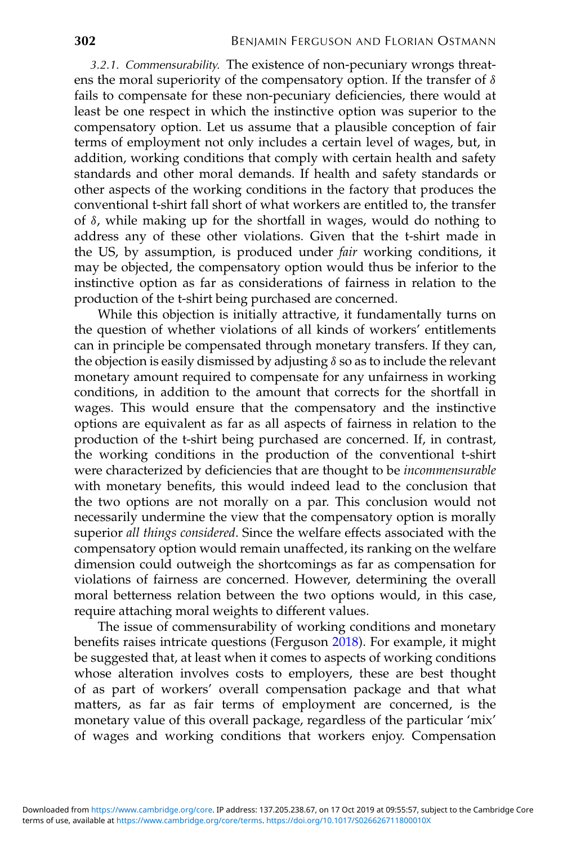3.2.1. Commensurability. The existence of non-pecuniary wrongs threatens the moral superiority of the compensatory option. If the transfer of  $\delta$ fails to compensate for these non-pecuniary deficiencies, there would at least be one respect in which the instinctive option was superior to the compensatory option. Let us assume that a plausible conception of fair terms of employment not only includes a certain level of wages, but, in addition, working conditions that comply with certain health and safety standards and other moral demands. If health and safety standards or other aspects of the working conditions in the factory that produces the conventional t-shirt fall short of what workers are entitled to, the transfer of δ, while making up for the shortfall in wages, would do nothing to address any of these other violations. Given that the t-shirt made in the US, by assumption, is produced under *fair* working conditions, it may be objected, the compensatory option would thus be inferior to the instinctive option as far as considerations of fairness in relation to the production of the t-shirt being purchased are concerned.

While this objection is initially attractive, it fundamentally turns on the question of whether violations of all kinds of workers' entitlements can in principle be compensated through monetary transfers. If they can, the objection is easily dismissed by adjusting  $\delta$  so as to include the relevant monetary amount required to compensate for any unfairness in working conditions, in addition to the amount that corrects for the shortfall in wages. This would ensure that the compensatory and the instinctive options are equivalent as far as all aspects of fairness in relation to the production of the t-shirt being purchased are concerned. If, in contrast, the working conditions in the production of the conventional t-shirt were characterized by deficiencies that are thought to be *incommensurable* with monetary benefits, this would indeed lead to the conclusion that the two options are not morally on a par. This conclusion would not necessarily undermine the view that the compensatory option is morally superior *all things considered*. Since the welfare effects associated with the compensatory option would remain unaffected, its ranking on the welfare dimension could outweigh the shortcomings as far as compensation for violations of fairness are concerned. However, determining the overall moral betterness relation between the two options would, in this case, require attaching moral weights to different values.

The issue of commensurability of working conditions and monetary benefits raises intricate questions (Ferguson [2018\)](#page-19-0). For example, it might be suggested that, at least when it comes to aspects of working conditions whose alteration involves costs to employers, these are best thought of as part of workers' overall compensation package and that what matters, as far as fair terms of employment are concerned, is the monetary value of this overall package, regardless of the particular 'mix' of wages and working conditions that workers enjoy. Compensation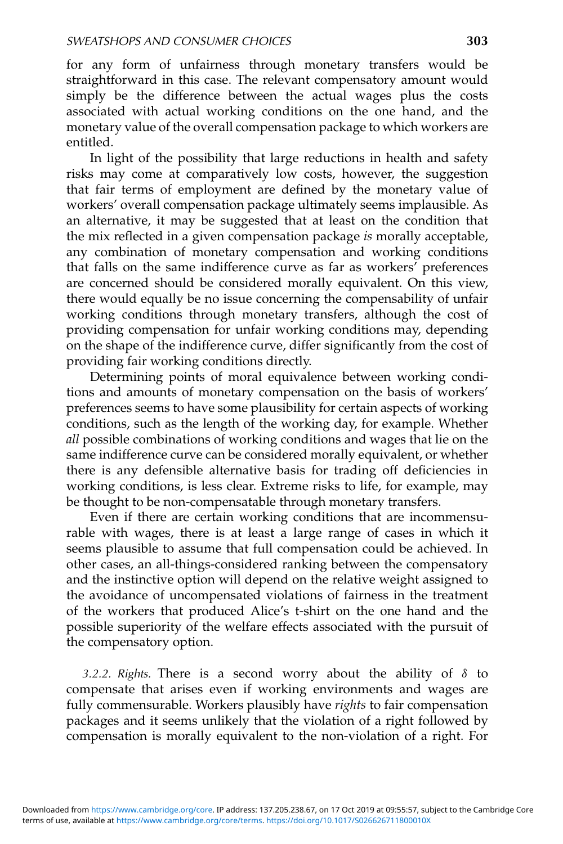for any form of unfairness through monetary transfers would be straightforward in this case. The relevant compensatory amount would simply be the difference between the actual wages plus the costs associated with actual working conditions on the one hand, and the monetary value of the overall compensation package to which workers are entitled.

In light of the possibility that large reductions in health and safety risks may come at comparatively low costs, however, the suggestion that fair terms of employment are defined by the monetary value of workers' overall compensation package ultimately seems implausible. As an alternative, it may be suggested that at least on the condition that the mix reflected in a given compensation package *is* morally acceptable, any combination of monetary compensation and working conditions that falls on the same indifference curve as far as workers' preferences are concerned should be considered morally equivalent. On this view, there would equally be no issue concerning the compensability of unfair working conditions through monetary transfers, although the cost of providing compensation for unfair working conditions may, depending on the shape of the indifference curve, differ significantly from the cost of providing fair working conditions directly.

Determining points of moral equivalence between working conditions and amounts of monetary compensation on the basis of workers' preferences seems to have some plausibility for certain aspects of working conditions, such as the length of the working day, for example. Whether *all* possible combinations of working conditions and wages that lie on the same indifference curve can be considered morally equivalent, or whether there is any defensible alternative basis for trading off deficiencies in working conditions, is less clear. Extreme risks to life, for example, may be thought to be non-compensatable through monetary transfers.

Even if there are certain working conditions that are incommensurable with wages, there is at least a large range of cases in which it seems plausible to assume that full compensation could be achieved. In other cases, an all-things-considered ranking between the compensatory and the instinctive option will depend on the relative weight assigned to the avoidance of uncompensated violations of fairness in the treatment of the workers that produced Alice's t-shirt on the one hand and the possible superiority of the welfare effects associated with the pursuit of the compensatory option.

3.2.2. Rights. There is a second worry about the ability of  $\delta$  to compensate that arises even if working environments and wages are fully commensurable. Workers plausibly have *rights* to fair compensation packages and it seems unlikely that the violation of a right followed by compensation is morally equivalent to the non-violation of a right. For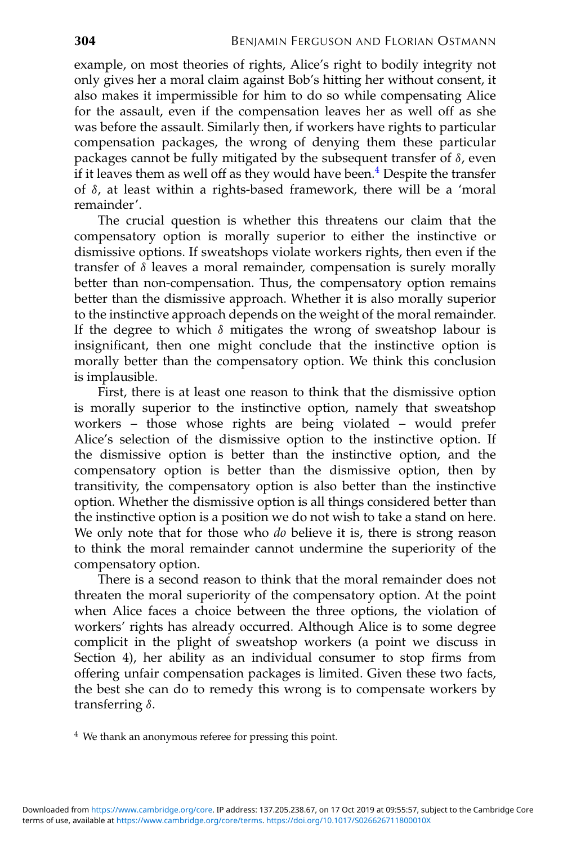example, on most theories of rights, Alice's right to bodily integrity not only gives her a moral claim against Bob's hitting her without consent, it also makes it impermissible for him to do so while compensating Alice for the assault, even if the compensation leaves her as well off as she was before the assault. Similarly then, if workers have rights to particular compensation packages, the wrong of denying them these particular packages cannot be fully mitigated by the subsequent transfer of  $\delta$ , even if it leaves them as well off as they would have been.<sup>4</sup> Despite the transfer of δ, at least within a rights-based framework, there will be a 'moral remainder'.

The crucial question is whether this threatens our claim that the compensatory option is morally superior to either the instinctive or dismissive options. If sweatshops violate workers rights, then even if the transfer of  $\delta$  leaves a moral remainder, compensation is surely morally better than non-compensation. Thus, the compensatory option remains better than the dismissive approach. Whether it is also morally superior to the instinctive approach depends on the weight of the moral remainder. If the degree to which  $\delta$  mitigates the wrong of sweatshop labour is insignificant, then one might conclude that the instinctive option is morally better than the compensatory option. We think this conclusion is implausible.

First, there is at least one reason to think that the dismissive option is morally superior to the instinctive option, namely that sweatshop workers – those whose rights are being violated – would prefer Alice's selection of the dismissive option to the instinctive option. If the dismissive option is better than the instinctive option, and the compensatory option is better than the dismissive option, then by transitivity, the compensatory option is also better than the instinctive option. Whether the dismissive option is all things considered better than the instinctive option is a position we do not wish to take a stand on here. We only note that for those who *do* believe it is, there is strong reason to think the moral remainder cannot undermine the superiority of the compensatory option.

There is a second reason to think that the moral remainder does not threaten the moral superiority of the compensatory option. At the point when Alice faces a choice between the three options, the violation of workers' rights has already occurred. Although Alice is to some degree complicit in the plight of sweatshop workers (a point we discuss in Section 4), her ability as an individual consumer to stop firms from offering unfair compensation packages is limited. Given these two facts, the best she can do to remedy this wrong is to compensate workers by transferring δ.

<sup>4</sup> We thank an anonymous referee for pressing this point.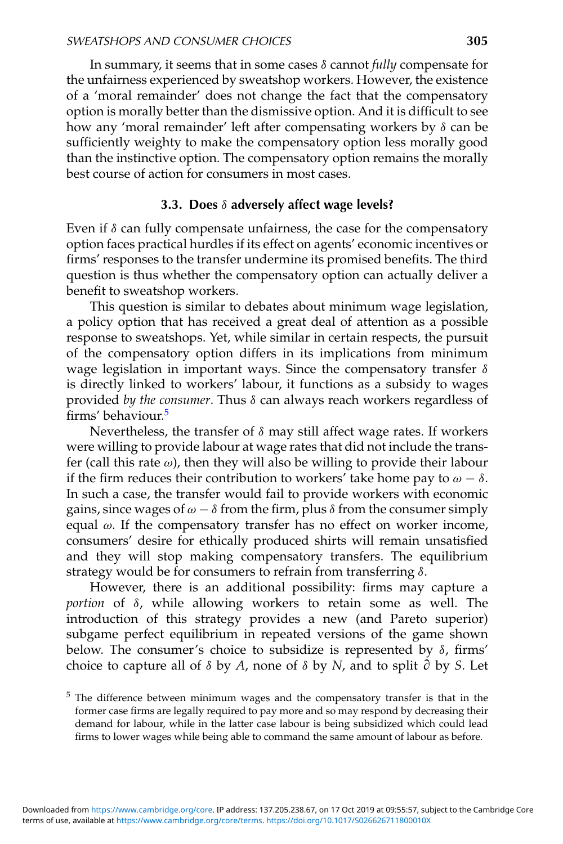In summary, it seems that in some cases δ cannot *fully* compensate for the unfairness experienced by sweatshop workers. However, the existence of a 'moral remainder' does not change the fact that the compensatory option is morally better than the dismissive option. And it is difficult to see how any 'moral remainder' left after compensating workers by δ can be sufficiently weighty to make the compensatory option less morally good than the instinctive option. The compensatory option remains the morally best course of action for consumers in most cases.

## **3.3. Does** δ **adversely affect wage levels?**

Even if  $\delta$  can fully compensate unfairness, the case for the compensatory option faces practical hurdles if its effect on agents' economic incentives or firms' responses to the transfer undermine its promised benefits. The third question is thus whether the compensatory option can actually deliver a benefit to sweatshop workers.

This question is similar to debates about minimum wage legislation, a policy option that has received a great deal of attention as a possible response to sweatshops. Yet, while similar in certain respects, the pursuit of the compensatory option differs in its implications from minimum wage legislation in important ways. Since the compensatory transfer δ is directly linked to workers' labour, it functions as a subsidy to wages provided *by the consumer*. Thus δ can always reach workers regardless of firms' behaviour.<sup>5</sup>

Nevertheless, the transfer of  $\delta$  may still affect wage rates. If workers were willing to provide labour at wage rates that did not include the transfer (call this rate  $\omega$ ), then they will also be willing to provide their labour if the firm reduces their contribution to workers' take home pay to  $\omega - \delta$ . In such a case, the transfer would fail to provide workers with economic gains, since wages of  $\omega - \delta$  from the firm, plus  $\delta$  from the consumer simply equal  $\omega$ . If the compensatory transfer has no effect on worker income, consumers' desire for ethically produced shirts will remain unsatisfied and they will stop making compensatory transfers. The equilibrium strategy would be for consumers to refrain from transferring  $\delta$ .

However, there is an additional possibility: firms may capture a *portion* of δ, while allowing workers to retain some as well. The introduction of this strategy provides a new (and Pareto superior) subgame perfect equilibrium in repeated versions of the game shown below. The consumer's choice to subsidize is represented by  $\delta$ , firms' choice to capture all of  $\delta$  by  $A$ , none of  $\delta$  by  $N$ , and to split  $\partial$  by  $S$ . Let

<sup>5</sup> The difference between minimum wages and the compensatory transfer is that in the former case firms are legally required to pay more and so may respond by decreasing their demand for labour, while in the latter case labour is being subsidized which could lead firms to lower wages while being able to command the same amount of labour as before.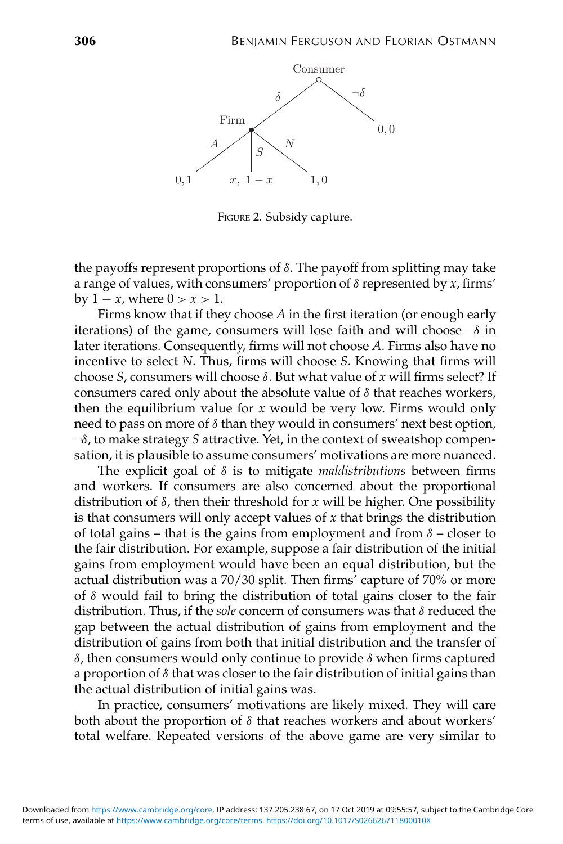

FIGURE 2. Subsidy capture.

the payoffs represent proportions of  $\delta$ . The payoff from splitting may take a range of values, with consumers' proportion of δ represented by *x*, firms'  $by 1 - x$ , where  $0 > x > 1$ .

Firms know that if they choose *A* in the first iteration (or enough early iterations) of the game, consumers will lose faith and will choose  $\neg$  in later iterations. Consequently, firms will not choose *A*. Firms also have no incentive to select *N*. Thus, firms will choose *S*. Knowing that firms will choose *S*, consumers will choose δ. But what value of *x* will firms select? If consumers cared only about the absolute value of  $\delta$  that reaches workers, then the equilibrium value for *x* would be very low. Firms would only need to pass on more of  $\delta$  than they would in consumers' next best option, ¬δ, to make strategy *S* attractive. Yet, in the context of sweatshop compensation, it is plausible to assume consumers' motivations are more nuanced.

The explicit goal of δ is to mitigate *maldistributions* between firms and workers. If consumers are also concerned about the proportional distribution of δ, then their threshold for *x* will be higher. One possibility is that consumers will only accept values of *x* that brings the distribution of total gains – that is the gains from employment and from  $\delta$  – closer to the fair distribution. For example, suppose a fair distribution of the initial gains from employment would have been an equal distribution, but the actual distribution was a 70/30 split. Then firms' capture of 70% or more of  $\delta$  would fail to bring the distribution of total gains closer to the fair distribution. Thus, if the *sole* concern of consumers was that δ reduced the gap between the actual distribution of gains from employment and the distribution of gains from both that initial distribution and the transfer of δ, then consumers would only continue to provide δ when firms captured a proportion of  $\delta$  that was closer to the fair distribution of initial gains than the actual distribution of initial gains was.

In practice, consumers' motivations are likely mixed. They will care both about the proportion of  $\delta$  that reaches workers and about workers' total welfare. Repeated versions of the above game are very similar to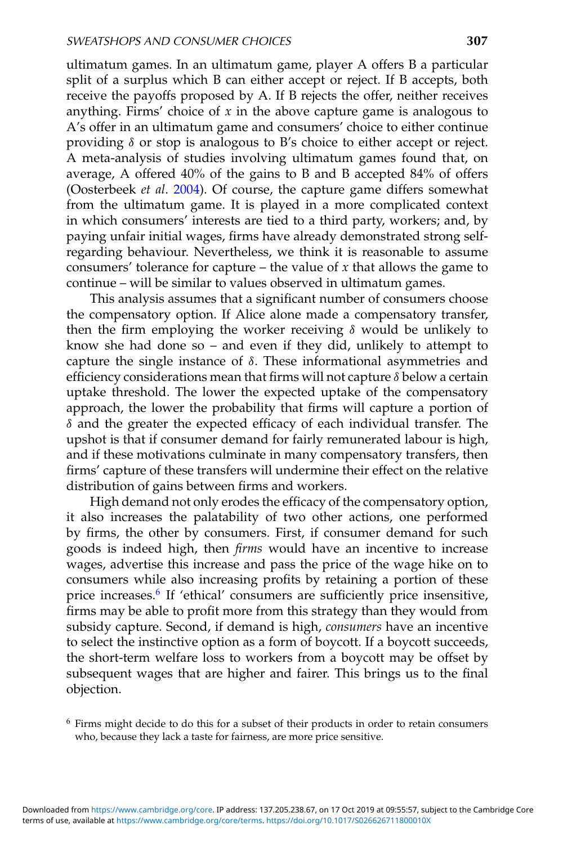ultimatum games. In an ultimatum game, player A offers B a particular split of a surplus which B can either accept or reject. If B accepts, both receive the payoffs proposed by A. If B rejects the offer, neither receives anything. Firms' choice of *x* in the above capture game is analogous to A's offer in an ultimatum game and consumers' choice to either continue providing δ or stop is analogous to B's choice to either accept or reject. A meta-analysis of studies involving ultimatum games found that, on average, A offered 40% of the gains to B and B accepted 84% of offers (Oosterbeek *et al*. [2004\)](#page-20-0). Of course, the capture game differs somewhat from the ultimatum game. It is played in a more complicated context in which consumers' interests are tied to a third party, workers; and, by paying unfair initial wages, firms have already demonstrated strong selfregarding behaviour. Nevertheless, we think it is reasonable to assume consumers' tolerance for capture – the value of *x* that allows the game to continue – will be similar to values observed in ultimatum games.

This analysis assumes that a significant number of consumers choose the compensatory option. If Alice alone made a compensatory transfer, then the firm employing the worker receiving  $\delta$  would be unlikely to know she had done so – and even if they did, unlikely to attempt to capture the single instance of  $\delta$ . These informational asymmetries and efficiency considerations mean that firms will not capture  $\delta$  below a certain uptake threshold. The lower the expected uptake of the compensatory approach, the lower the probability that firms will capture a portion of  $\delta$  and the greater the expected efficacy of each individual transfer. The upshot is that if consumer demand for fairly remunerated labour is high, and if these motivations culminate in many compensatory transfers, then firms' capture of these transfers will undermine their effect on the relative distribution of gains between firms and workers.

High demand not only erodes the efficacy of the compensatory option, it also increases the palatability of two other actions, one performed by firms, the other by consumers. First, if consumer demand for such goods is indeed high, then *firms* would have an incentive to increase wages, advertise this increase and pass the price of the wage hike on to consumers while also increasing profits by retaining a portion of these price increases.<sup>6</sup> If 'ethical' consumers are sufficiently price insensitive, firms may be able to profit more from this strategy than they would from subsidy capture. Second, if demand is high, *consumers* have an incentive to select the instinctive option as a form of boycott. If a boycott succeeds, the short-term welfare loss to workers from a boycott may be offset by subsequent wages that are higher and fairer. This brings us to the final objection.

<sup>6</sup> Firms might decide to do this for a subset of their products in order to retain consumers who, because they lack a taste for fairness, are more price sensitive.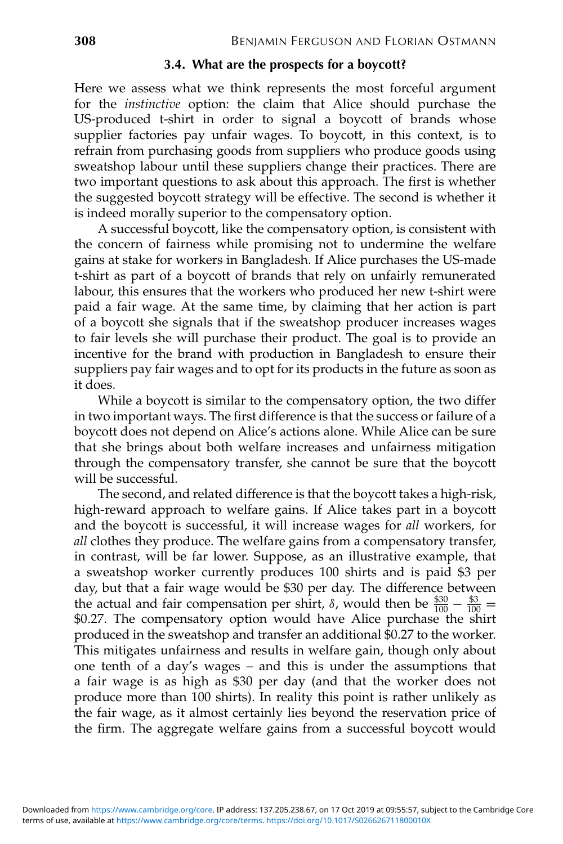# **3.4. What are the prospects for a boycott?**

Here we assess what we think represents the most forceful argument for the *instinctive* option: the claim that Alice should purchase the US-produced t-shirt in order to signal a boycott of brands whose supplier factories pay unfair wages. To boycott, in this context, is to refrain from purchasing goods from suppliers who produce goods using sweatshop labour until these suppliers change their practices. There are two important questions to ask about this approach. The first is whether the suggested boycott strategy will be effective. The second is whether it is indeed morally superior to the compensatory option.

A successful boycott, like the compensatory option, is consistent with the concern of fairness while promising not to undermine the welfare gains at stake for workers in Bangladesh. If Alice purchases the US-made t-shirt as part of a boycott of brands that rely on unfairly remunerated labour, this ensures that the workers who produced her new t-shirt were paid a fair wage. At the same time, by claiming that her action is part of a boycott she signals that if the sweatshop producer increases wages to fair levels she will purchase their product. The goal is to provide an incentive for the brand with production in Bangladesh to ensure their suppliers pay fair wages and to opt for its products in the future as soon as it does.

While a boycott is similar to the compensatory option, the two differ in two important ways. The first difference is that the success or failure of a boycott does not depend on Alice's actions alone. While Alice can be sure that she brings about both welfare increases and unfairness mitigation through the compensatory transfer, she cannot be sure that the boycott will be successful.

The second, and related difference is that the boycott takes a high-risk, high-reward approach to welfare gains. If Alice takes part in a boycott and the boycott is successful, it will increase wages for *all* workers, for *all* clothes they produce. The welfare gains from a compensatory transfer, in contrast, will be far lower. Suppose, as an illustrative example, that a sweatshop worker currently produces 100 shirts and is paid \$3 per day, but that a fair wage would be \$30 per day. The difference between the actual and fair compensation per shirt,  $\delta$ , would then be  $\frac{$30}{100} - \frac{$3}{100} =$ \$0.27. The compensatory option would have Alice purchase the shirt produced in the sweatshop and transfer an additional \$0.27 to the worker. This mitigates unfairness and results in welfare gain, though only about one tenth of a day's wages – and this is under the assumptions that a fair wage is as high as \$30 per day (and that the worker does not produce more than 100 shirts). In reality this point is rather unlikely as the fair wage, as it almost certainly lies beyond the reservation price of the firm. The aggregate welfare gains from a successful boycott would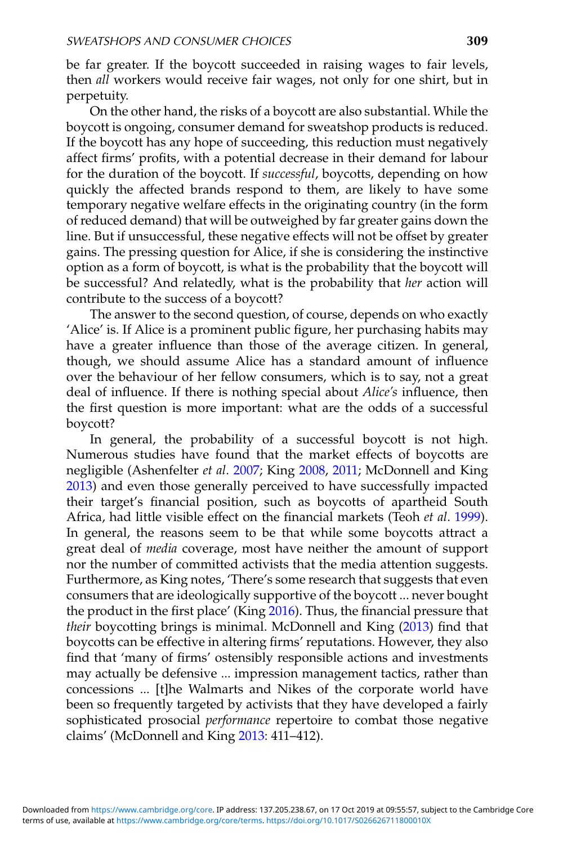be far greater. If the boycott succeeded in raising wages to fair levels, then *all* workers would receive fair wages, not only for one shirt, but in perpetuity.

On the other hand, the risks of a boycott are also substantial. While the boycott is ongoing, consumer demand for sweatshop products is reduced. If the boycott has any hope of succeeding, this reduction must negatively affect firms' profits, with a potential decrease in their demand for labour for the duration of the boycott. If *successful*, boycotts, depending on how quickly the affected brands respond to them, are likely to have some temporary negative welfare effects in the originating country (in the form of reduced demand) that will be outweighed by far greater gains down the line. But if unsuccessful, these negative effects will not be offset by greater gains. The pressing question for Alice, if she is considering the instinctive option as a form of boycott, is what is the probability that the boycott will be successful? And relatedly, what is the probability that *her* action will contribute to the success of a boycott?

The answer to the second question, of course, depends on who exactly 'Alice' is. If Alice is a prominent public figure, her purchasing habits may have a greater influence than those of the average citizen. In general, though, we should assume Alice has a standard amount of influence over the behaviour of her fellow consumers, which is to say, not a great deal of influence. If there is nothing special about *Alice's* influence, then the first question is more important: what are the odds of a successful boycott?

In general, the probability of a successful boycott is not high. Numerous studies have found that the market effects of boycotts are negligible (Ashenfelter *et al*. [2007;](#page-19-0) King [2008,](#page-20-0) [2011;](#page-20-0) McDonnell and King [2013\)](#page-20-0) and even those generally perceived to have successfully impacted their target's financial position, such as boycotts of apartheid South Africa, had little visible effect on the financial markets (Teoh *et al*. [1999\)](#page-20-0). In general, the reasons seem to be that while some boycotts attract a great deal of *media* coverage, most have neither the amount of support nor the number of committed activists that the media attention suggests. Furthermore, as King notes, 'There's some research that suggests that even consumers that are ideologically supportive of the boycott ... never bought the product in the first place' (King [2016\)](#page-20-0). Thus, the financial pressure that *their* boycotting brings is minimal. McDonnell and King [\(2013\)](#page-20-0) find that boycotts can be effective in altering firms' reputations. However, they also find that 'many of firms' ostensibly responsible actions and investments may actually be defensive ... impression management tactics, rather than concessions ... [t]he Walmarts and Nikes of the corporate world have been so frequently targeted by activists that they have developed a fairly sophisticated prosocial *performance* repertoire to combat those negative claims' (McDonnell and King [2013:](#page-20-0) 411–412).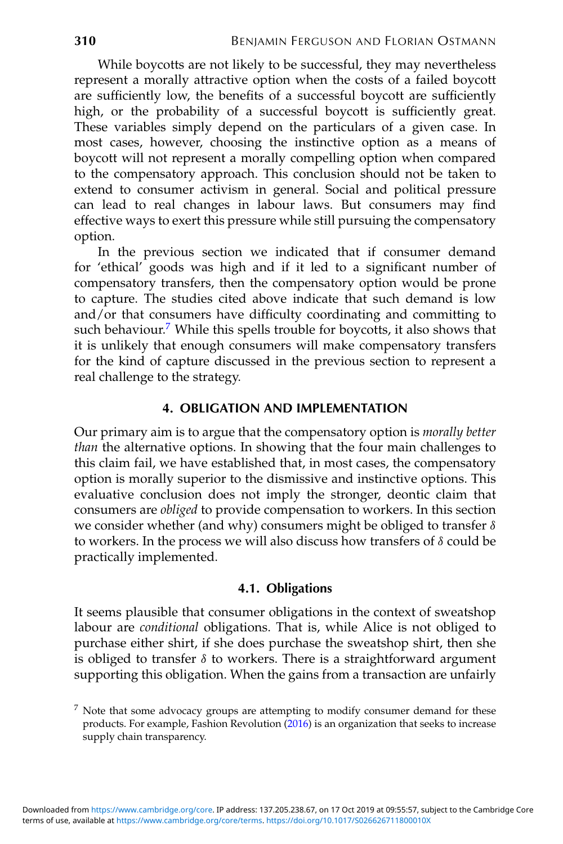While boycotts are not likely to be successful, they may nevertheless represent a morally attractive option when the costs of a failed boycott are sufficiently low, the benefits of a successful boycott are sufficiently high, or the probability of a successful boycott is sufficiently great. These variables simply depend on the particulars of a given case. In most cases, however, choosing the instinctive option as a means of boycott will not represent a morally compelling option when compared to the compensatory approach. This conclusion should not be taken to extend to consumer activism in general. Social and political pressure can lead to real changes in labour laws. But consumers may find effective ways to exert this pressure while still pursuing the compensatory option.

In the previous section we indicated that if consumer demand for 'ethical' goods was high and if it led to a significant number of compensatory transfers, then the compensatory option would be prone to capture. The studies cited above indicate that such demand is low and/or that consumers have difficulty coordinating and committing to such behaviour.<sup>7</sup> While this spells trouble for boycotts, it also shows that it is unlikely that enough consumers will make compensatory transfers for the kind of capture discussed in the previous section to represent a real challenge to the strategy.

# **4. OBLIGATION AND IMPLEMENTATION**

Our primary aim is to argue that the compensatory option is *morally better than* the alternative options. In showing that the four main challenges to this claim fail, we have established that, in most cases, the compensatory option is morally superior to the dismissive and instinctive options. This evaluative conclusion does not imply the stronger, deontic claim that consumers are *obliged* to provide compensation to workers. In this section we consider whether (and why) consumers might be obliged to transfer  $\delta$ to workers. In the process we will also discuss how transfers of  $\delta$  could be practically implemented.

### **4.1. Obligations**

It seems plausible that consumer obligations in the context of sweatshop labour are *conditional* obligations. That is, while Alice is not obliged to purchase either shirt, if she does purchase the sweatshop shirt, then she is obliged to transfer  $\delta$  to workers. There is a straightforward argument supporting this obligation. When the gains from a transaction are unfairly

<sup>7</sup> Note that some advocacy groups are attempting to modify consumer demand for these products. For example, Fashion Revolution [\(2016\)](#page-19-0) is an organization that seeks to increase supply chain transparency.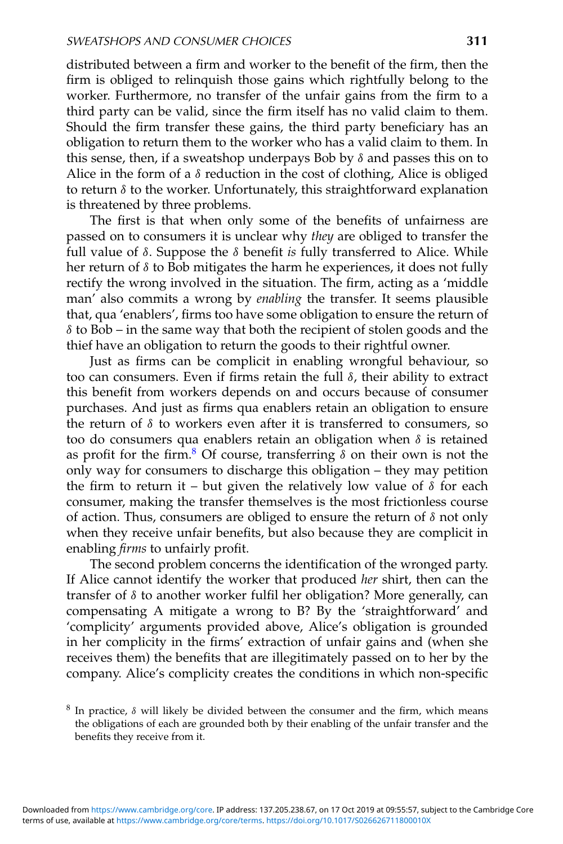distributed between a firm and worker to the benefit of the firm, then the firm is obliged to relinquish those gains which rightfully belong to the worker. Furthermore, no transfer of the unfair gains from the firm to a third party can be valid, since the firm itself has no valid claim to them. Should the firm transfer these gains, the third party beneficiary has an obligation to return them to the worker who has a valid claim to them. In this sense, then, if a sweatshop underpays Bob by  $\delta$  and passes this on to Alice in the form of a  $\delta$  reduction in the cost of clothing, Alice is obliged to return  $\delta$  to the worker. Unfortunately, this straightforward explanation is threatened by three problems.

The first is that when only some of the benefits of unfairness are passed on to consumers it is unclear why *they* are obliged to transfer the full value of δ. Suppose the δ benefit *is* fully transferred to Alice. While her return of  $\delta$  to Bob mitigates the harm he experiences, it does not fully rectify the wrong involved in the situation. The firm, acting as a 'middle man' also commits a wrong by *enabling* the transfer. It seems plausible that, qua 'enablers', firms too have some obligation to ensure the return of δ to Bob – in the same way that both the recipient of stolen goods and the thief have an obligation to return the goods to their rightful owner.

Just as firms can be complicit in enabling wrongful behaviour, so too can consumers. Even if firms retain the full δ, their ability to extract this benefit from workers depends on and occurs because of consumer purchases. And just as firms qua enablers retain an obligation to ensure the return of  $\delta$  to workers even after it is transferred to consumers, so too do consumers qua enablers retain an obligation when  $\delta$  is retained as profit for the firm.<sup>8</sup> Of course, transferring  $\delta$  on their own is not the only way for consumers to discharge this obligation – they may petition the firm to return it – but given the relatively low value of  $\delta$  for each consumer, making the transfer themselves is the most frictionless course of action. Thus, consumers are obliged to ensure the return of  $\delta$  not only when they receive unfair benefits, but also because they are complicit in enabling *firms* to unfairly profit.

The second problem concerns the identification of the wronged party. If Alice cannot identify the worker that produced *her* shirt, then can the transfer of δ to another worker fulfil her obligation? More generally, can compensating A mitigate a wrong to B? By the 'straightforward' and 'complicity' arguments provided above, Alice's obligation is grounded in her complicity in the firms' extraction of unfair gains and (when she receives them) the benefits that are illegitimately passed on to her by the company. Alice's complicity creates the conditions in which non-specific

<sup>&</sup>lt;sup>8</sup> In practice,  $\delta$  will likely be divided between the consumer and the firm, which means the obligations of each are grounded both by their enabling of the unfair transfer and the benefits they receive from it.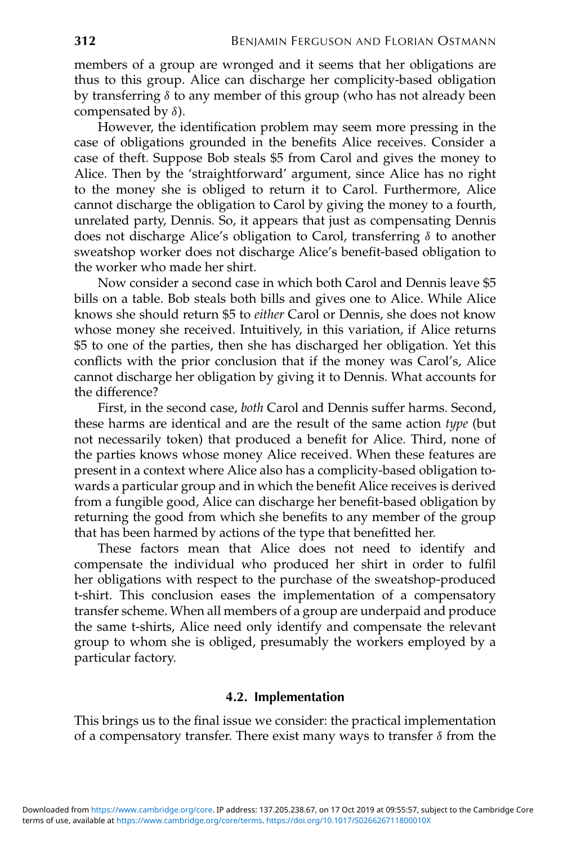members of a group are wronged and it seems that her obligations are thus to this group. Alice can discharge her complicity-based obligation by transferring  $\delta$  to any member of this group (who has not already been compensated by  $\delta$ ).

However, the identification problem may seem more pressing in the case of obligations grounded in the benefits Alice receives. Consider a case of theft. Suppose Bob steals \$5 from Carol and gives the money to Alice. Then by the 'straightforward' argument, since Alice has no right to the money she is obliged to return it to Carol. Furthermore, Alice cannot discharge the obligation to Carol by giving the money to a fourth, unrelated party, Dennis. So, it appears that just as compensating Dennis does not discharge Alice's obligation to Carol, transferring δ to another sweatshop worker does not discharge Alice's benefit-based obligation to the worker who made her shirt.

Now consider a second case in which both Carol and Dennis leave \$5 bills on a table. Bob steals both bills and gives one to Alice. While Alice knows she should return \$5 to *either* Carol or Dennis, she does not know whose money she received. Intuitively, in this variation, if Alice returns \$5 to one of the parties, then she has discharged her obligation. Yet this conflicts with the prior conclusion that if the money was Carol's, Alice cannot discharge her obligation by giving it to Dennis. What accounts for the difference?

First, in the second case, *both* Carol and Dennis suffer harms. Second, these harms are identical and are the result of the same action *type* (but not necessarily token) that produced a benefit for Alice. Third, none of the parties knows whose money Alice received. When these features are present in a context where Alice also has a complicity-based obligation towards a particular group and in which the benefit Alice receives is derived from a fungible good, Alice can discharge her benefit-based obligation by returning the good from which she benefits to any member of the group that has been harmed by actions of the type that benefitted her.

These factors mean that Alice does not need to identify and compensate the individual who produced her shirt in order to fulfil her obligations with respect to the purchase of the sweatshop-produced t-shirt. This conclusion eases the implementation of a compensatory transfer scheme. When all members of a group are underpaid and produce the same t-shirts, Alice need only identify and compensate the relevant group to whom she is obliged, presumably the workers employed by a particular factory.

# **4.2. Implementation**

This brings us to the final issue we consider: the practical implementation of a compensatory transfer. There exist many ways to transfer  $\delta$  from the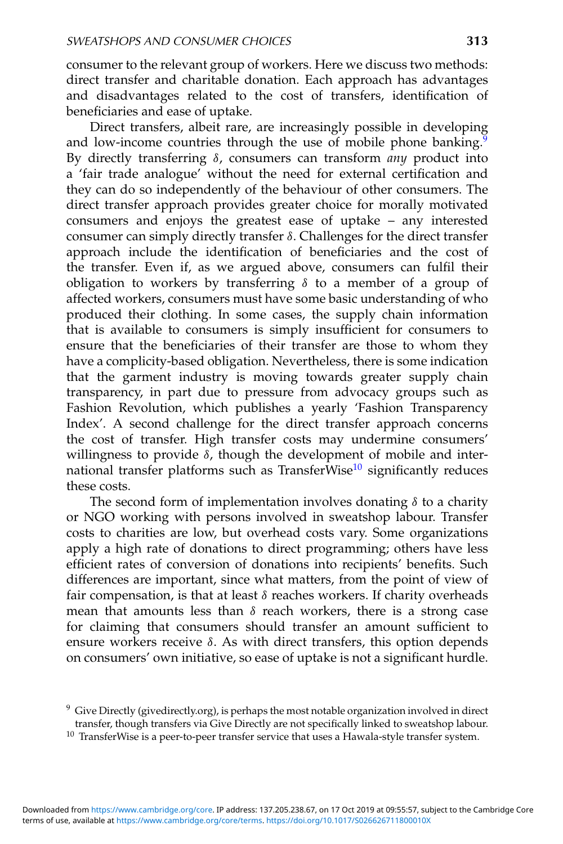consumer to the relevant group of workers. Here we discuss two methods: direct transfer and charitable donation. Each approach has advantages and disadvantages related to the cost of transfers, identification of beneficiaries and ease of uptake.

Direct transfers, albeit rare, are increasingly possible in developing and low-income countries through the use of mobile phone banking.<sup>9</sup> By directly transferring δ, consumers can transform *any* product into a 'fair trade analogue' without the need for external certification and they can do so independently of the behaviour of other consumers. The direct transfer approach provides greater choice for morally motivated consumers and enjoys the greatest ease of uptake – any interested consumer can simply directly transfer δ. Challenges for the direct transfer approach include the identification of beneficiaries and the cost of the transfer. Even if, as we argued above, consumers can fulfil their obligation to workers by transferring  $\delta$  to a member of a group of affected workers, consumers must have some basic understanding of who produced their clothing. In some cases, the supply chain information that is available to consumers is simply insufficient for consumers to ensure that the beneficiaries of their transfer are those to whom they have a complicity-based obligation. Nevertheless, there is some indication that the garment industry is moving towards greater supply chain transparency, in part due to pressure from advocacy groups such as Fashion Revolution, which publishes a yearly 'Fashion Transparency Index'. A second challenge for the direct transfer approach concerns the cost of transfer. High transfer costs may undermine consumers' willingness to provide  $\delta$ , though the development of mobile and international transfer platforms such as TransferWise<sup>10</sup> significantly reduces these costs.

The second form of implementation involves donating  $\delta$  to a charity or NGO working with persons involved in sweatshop labour. Transfer costs to charities are low, but overhead costs vary. Some organizations apply a high rate of donations to direct programming; others have less efficient rates of conversion of donations into recipients' benefits. Such differences are important, since what matters, from the point of view of fair compensation, is that at least  $\delta$  reaches workers. If charity overheads mean that amounts less than  $\delta$  reach workers, there is a strong case for claiming that consumers should transfer an amount sufficient to ensure workers receive  $\delta$ . As with direct transfers, this option depends on consumers' own initiative, so ease of uptake is not a significant hurdle.

<sup>&</sup>lt;sup>9</sup> Give Directly (givedirectly.org), is perhaps the most notable organization involved in direct transfer, though transfers via Give Directly are not specifically linked to sweatshop labour.

 $10$  TransferWise is a peer-to-peer transfer service that uses a Hawala-style transfer system.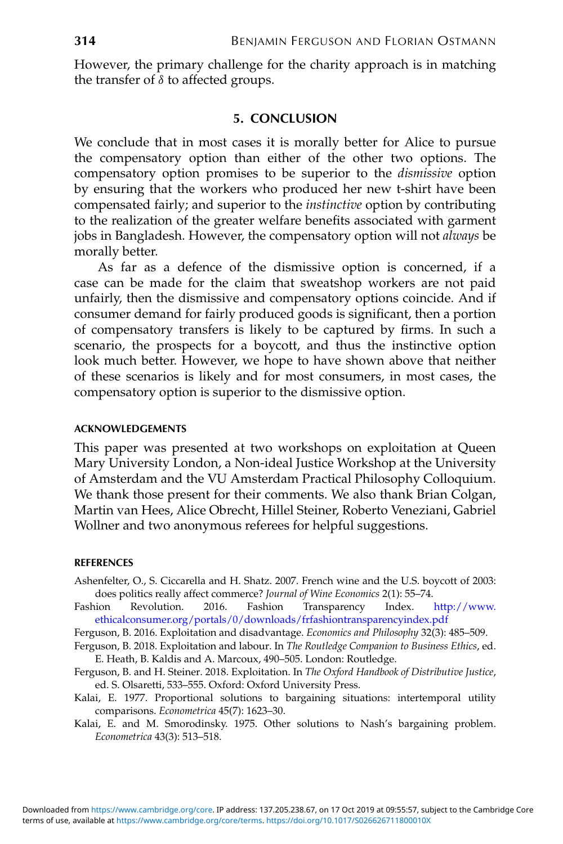<span id="page-19-0"></span>However, the primary challenge for the charity approach is in matching the transfer of  $\delta$  to affected groups.

# **5. CONCLUSION**

We conclude that in most cases it is morally better for Alice to pursue the compensatory option than either of the other two options. The compensatory option promises to be superior to the *dismissive* option by ensuring that the workers who produced her new t-shirt have been compensated fairly; and superior to the *instinctive* option by contributing to the realization of the greater welfare benefits associated with garment jobs in Bangladesh. However, the compensatory option will not *always* be morally better.

As far as a defence of the dismissive option is concerned, if a case can be made for the claim that sweatshop workers are not paid unfairly, then the dismissive and compensatory options coincide. And if consumer demand for fairly produced goods is significant, then a portion of compensatory transfers is likely to be captured by firms. In such a scenario, the prospects for a boycott, and thus the instinctive option look much better. However, we hope to have shown above that neither of these scenarios is likely and for most consumers, in most cases, the compensatory option is superior to the dismissive option.

#### **ACKNOWLEDGEMENTS**

This paper was presented at two workshops on exploitation at Queen Mary University London, a Non-ideal Justice Workshop at the University of Amsterdam and the VU Amsterdam Practical Philosophy Colloquium. We thank those present for their comments. We also thank Brian Colgan, Martin van Hees, Alice Obrecht, Hillel Steiner, Roberto Veneziani, Gabriel Wollner and two anonymous referees for helpful suggestions.

#### **REFERENCES**

- Ashenfelter, O., S. Ciccarella and H. Shatz. 2007. French wine and the U.S. boycott of 2003: does politics really affect commerce? *Journal of Wine Economics* 2(1): 55–74.
- Fashion Revolution. 2016. Fashion Transparency Index. [http://www.](http://www.ethicalconsumer.org/portals/0/downloads/frfashiontransparencyindex.pdf) [ethicalconsumer.org/portals/0/downloads/frfashiontransparencyindex.pdf](http://www.ethicalconsumer.org/portals/0/downloads/frfashiontransparencyindex.pdf)
- Ferguson, B. 2016. Exploitation and disadvantage. *Economics and Philosophy* 32(3): 485–509.
- Ferguson, B. 2018. Exploitation and labour. In *The Routledge Companion to Business Ethics*, ed. E. Heath, B. Kaldis and A. Marcoux, 490–505. London: Routledge.
- Ferguson, B. and H. Steiner. 2018. Exploitation. In *The Oxford Handbook of Distributive Justice*, ed. S. Olsaretti, 533–555. Oxford: Oxford University Press.
- Kalai, E. 1977. Proportional solutions to bargaining situations: intertemporal utility comparisons. *Econometrica* 45(7): 1623–30.
- Kalai, E. and M. Smorodinsky. 1975. Other solutions to Nash's bargaining problem. *Econometrica* 43(3): 513–518.